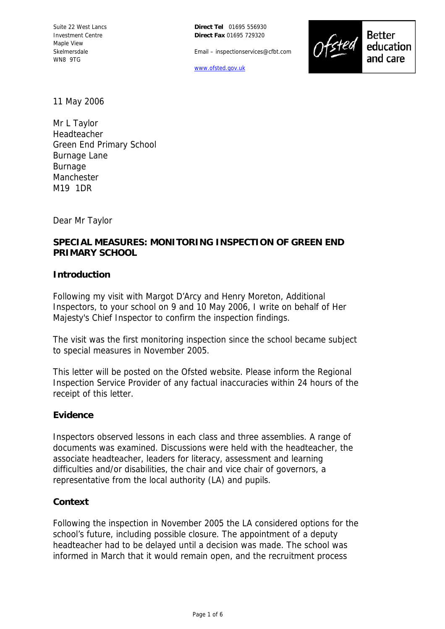**Direct Tel** 01695 556930 **Direct Fax** 01695 729320

Email – inspectionservices@cfbt.com

[www.ofsted.gov.uk](http://www.ofsted.gov.uk/)



11 May 2006

Mr L Taylor Headteacher Green End Primary School Burnage Lane Burnage Manchester M19 1DR

Dear Mr Taylor

# **SPECIAL MEASURES: MONITORING INSPECTION OF GREEN END PRIMARY SCHOOL**

#### **Introduction**

Following my visit with Margot D'Arcy and Henry Moreton, Additional Inspectors, to your school on 9 and 10 May 2006, I write on behalf of Her Majesty's Chief Inspector to confirm the inspection findings.

The visit was the first monitoring inspection since the school became subject to special measures in November 2005.

This letter will be posted on the Ofsted website. Please inform the Regional Inspection Service Provider of any factual inaccuracies within 24 hours of the receipt of this letter.

# **Evidence**

Inspectors observed lessons in each class and three assemblies. A range of documents was examined. Discussions were held with the headteacher, the associate headteacher, leaders for literacy, assessment and learning difficulties and/or disabilities, the chair and vice chair of governors, a representative from the local authority (LA) and pupils.

#### **Context**

Following the inspection in November 2005 the LA considered options for the school's future, including possible closure. The appointment of a deputy headteacher had to be delayed until a decision was made. The school was informed in March that it would remain open, and the recruitment process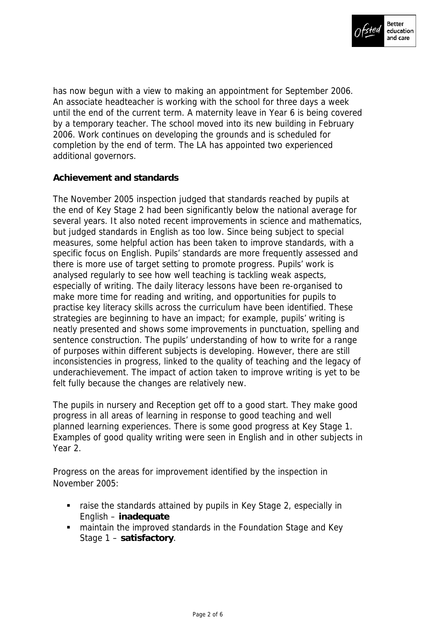

has now begun with a view to making an appointment for September 2006. An associate headteacher is working with the school for three days a week until the end of the current term. A maternity leave in Year 6 is being covered by a temporary teacher. The school moved into its new building in February 2006. Work continues on developing the grounds and is scheduled for completion by the end of term. The LA has appointed two experienced additional governors.

# **Achievement and standards**

The November 2005 inspection judged that standards reached by pupils at the end of Key Stage 2 had been significantly below the national average for several years. It also noted recent improvements in science and mathematics, but judged standards in English as too low. Since being subject to special measures, some helpful action has been taken to improve standards, with a specific focus on English. Pupils' standards are more frequently assessed and there is more use of target setting to promote progress. Pupils' work is analysed regularly to see how well teaching is tackling weak aspects, especially of writing. The daily literacy lessons have been re-organised to make more time for reading and writing, and opportunities for pupils to practise key literacy skills across the curriculum have been identified. These strategies are beginning to have an impact; for example, pupils' writing is neatly presented and shows some improvements in punctuation, spelling and sentence construction. The pupils' understanding of how to write for a range of purposes within different subjects is developing. However, there are still inconsistencies in progress, linked to the quality of teaching and the legacy of underachievement. The impact of action taken to improve writing is yet to be felt fully because the changes are relatively new.

The pupils in nursery and Reception get off to a good start. They make good progress in all areas of learning in response to good teaching and well planned learning experiences. There is some good progress at Key Stage 1. Examples of good quality writing were seen in English and in other subjects in Year 2.

Progress on the areas for improvement identified by the inspection in November 2005:

- raise the standards attained by pupils in Key Stage 2, especially in English – **inadequate**
- maintain the improved standards in the Foundation Stage and Key Stage 1 – **satisfactory**.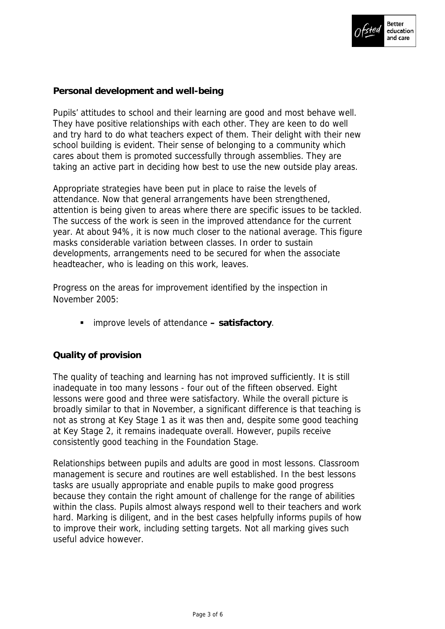

# **Personal development and well-being**

Pupils' attitudes to school and their learning are good and most behave well. They have positive relationships with each other. They are keen to do well and try hard to do what teachers expect of them. Their delight with their new school building is evident. Their sense of belonging to a community which cares about them is promoted successfully through assemblies. They are taking an active part in deciding how best to use the new outside play areas.

Appropriate strategies have been put in place to raise the levels of attendance. Now that general arrangements have been strengthened, attention is being given to areas where there are specific issues to be tackled. The success of the work is seen in the improved attendance for the current year. At about 94%, it is now much closer to the national average. This figure masks considerable variation between classes. In order to sustain developments, arrangements need to be secured for when the associate headteacher, who is leading on this work, leaves.

Progress on the areas for improvement identified by the inspection in November 2005:

improve levels of attendance **– satisfactory**.

# **Quality of provision**

The quality of teaching and learning has not improved sufficiently. It is still inadequate in too many lessons - four out of the fifteen observed. Eight lessons were good and three were satisfactory. While the overall picture is broadly similar to that in November, a significant difference is that teaching is not as strong at Key Stage 1 as it was then and, despite some good teaching at Key Stage 2, it remains inadequate overall. However, pupils receive consistently good teaching in the Foundation Stage.

Relationships between pupils and adults are good in most lessons. Classroom management is secure and routines are well established. In the best lessons tasks are usually appropriate and enable pupils to make good progress because they contain the right amount of challenge for the range of abilities within the class. Pupils almost always respond well to their teachers and work hard. Marking is diligent, and in the best cases helpfully informs pupils of how to improve their work, including setting targets. Not all marking gives such useful advice however.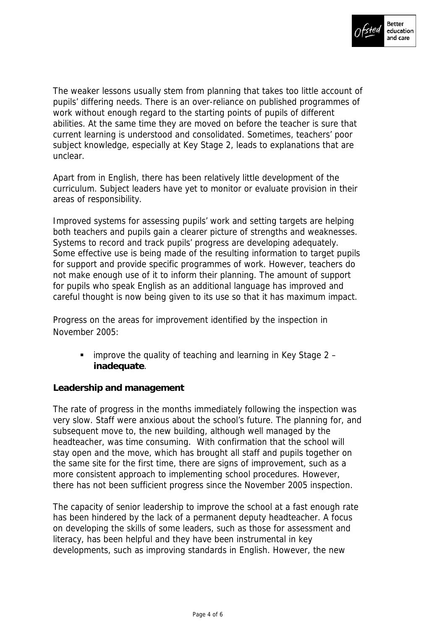

The weaker lessons usually stem from planning that takes too little account of pupils' differing needs. There is an over-reliance on published programmes of work without enough regard to the starting points of pupils of different abilities. At the same time they are moved on before the teacher is sure that current learning is understood and consolidated. Sometimes, teachers' poor subject knowledge, especially at Key Stage 2, leads to explanations that are unclear.

Apart from in English, there has been relatively little development of the curriculum. Subject leaders have yet to monitor or evaluate provision in their areas of responsibility.

Improved systems for assessing pupils' work and setting targets are helping both teachers and pupils gain a clearer picture of strengths and weaknesses. Systems to record and track pupils' progress are developing adequately. Some effective use is being made of the resulting information to target pupils for support and provide specific programmes of work. However, teachers do not make enough use of it to inform their planning. The amount of support for pupils who speak English as an additional language has improved and careful thought is now being given to its use so that it has maximum impact.

Progress on the areas for improvement identified by the inspection in November 2005:

 $\blacksquare$  improve the quality of teaching and learning in Key Stage 2 – **inadequate**.

# **Leadership and management**

The rate of progress in the months immediately following the inspection was very slow. Staff were anxious about the school's future. The planning for, and subsequent move to, the new building, although well managed by the headteacher, was time consuming. With confirmation that the school will stay open and the move, which has brought all staff and pupils together on the same site for the first time, there are signs of improvement, such as a more consistent approach to implementing school procedures. However, there has not been sufficient progress since the November 2005 inspection.

The capacity of senior leadership to improve the school at a fast enough rate has been hindered by the lack of a permanent deputy headteacher. A focus on developing the skills of some leaders, such as those for assessment and literacy, has been helpful and they have been instrumental in key developments, such as improving standards in English. However, the new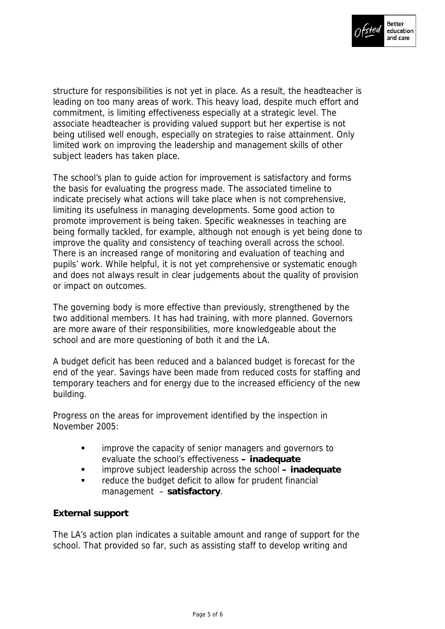

structure for responsibilities is not yet in place. As a result, the headteacher is leading on too many areas of work. This heavy load, despite much effort and commitment, is limiting effectiveness especially at a strategic level. The associate headteacher is providing valued support but her expertise is not being utilised well enough, especially on strategies to raise attainment. Only limited work on improving the leadership and management skills of other subject leaders has taken place.

The school's plan to guide action for improvement is satisfactory and forms the basis for evaluating the progress made. The associated timeline to indicate precisely what actions will take place when is not comprehensive, limiting its usefulness in managing developments. Some good action to promote improvement is being taken. Specific weaknesses in teaching are being formally tackled, for example, although not enough is yet being done to improve the quality and consistency of teaching overall across the school. There is an increased range of monitoring and evaluation of teaching and pupils' work. While helpful, it is not yet comprehensive or systematic enough and does not always result in clear judgements about the quality of provision or impact on outcomes.

The governing body is more effective than previously, strengthened by the two additional members. It has had training, with more planned. Governors are more aware of their responsibilities, more knowledgeable about the school and are more questioning of both it and the LA.

A budget deficit has been reduced and a balanced budget is forecast for the end of the year. Savings have been made from reduced costs for staffing and temporary teachers and for energy due to the increased efficiency of the new building.

Progress on the areas for improvement identified by the inspection in November 2005:

- **EXECT** improve the capacity of senior managers and governors to evaluate the school's effectiveness **– inadequate**
- improve subject leadership across the school **inadequate**
- **Fall controls are reduce the budget deficit to allow for prudent financial** management – **satisfactory**.

# **External support**

The LA's action plan indicates a suitable amount and range of support for the school. That provided so far, such as assisting staff to develop writing and